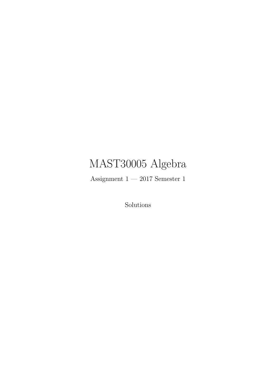# MAST30005 Algebra

Assignment  $1 - 2017$  Semester  $1$ 

Solutions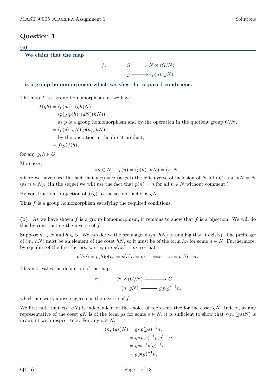#### **(a)**

### **We claim that the map**

f:  
\n
$$
G \longrightarrow N \times (G/N)
$$
  
\n $g \longmapsto (p(g), gN)$ 

**is a group homomorphism which satisfies the required conditions.**

The map *f* is a group homomorphism, as we have

 $f(gh) = (p(gh), (gh)N)$  $= (p(g)p(h), (gN)(hN))$ as  $p$  is a group homomorphism and by the operation in the quotient group  $G/N$ ,  $= (p(q), qN)(p(h), hN)$ by the operation in the direct product,  $= f(q) f(h)$ ,

for any  $g, h \in G$ .

Moreover,

$$
\forall n \in N, \quad f(n) = (p(n), nN) = (n, N),
$$

where we have used the fact that  $p(n) = n$  (as p is the left-inverse of inclusion of N into G) and  $nN = N$ (as  $n \in N$ ). (In the sequel we will use the fact that  $p(n) = n$  for all  $n \in N$  without comment.)

By construction, projection of  $f(g)$  to the second factor is  $gN$ .

Thus f is a group homomorphism satisfying the required conditions.

**(b)** As we have shown *f* is a group homomorphism, it remains to show that *f* is a bijection. We will do this by constructing the inverse of *f*.

Suppose  $m \in N$  and  $h \in G$ . We can derive the preimage of  $(m, hN)$  (assuming that it exists). The preimage of  $(m, hN)$  must be an element of the coset  $hN$ , so it must be of the form  $hn$  for some  $n \in N$ . Furthermore, by equality of the first factors, we require  $p(hn) = m$ , so that

$$
p(hn) = p(h)p(n) = p(h)n = m \implies n = p(h)^{-1}m.
$$

This motivates the definition of the map

$$
r: \t N \times (G/N) \longrightarrow G
$$

$$
(n, gN) \longmapsto gp(g)^{-1}n,
$$

which our work above suggests is the inverse of *f*.

We first note that  $r(n, qN)$  is independent of the choice of representative for the coset  $qN$ . Indeed, as any representative of the coset *gN* is of the form *gs* for some  $s \in N$ , it is sufficient to show that  $r(n,(qs)N)$  is invariant with respect to *s*. For any  $s \in N$ ,

$$
r(n, (gs)N) = gs p(gs)^{-1}n,
$$
  
=  $gs p(s)^{-1}p(g)^{-1}n,$   
=  $gs s^{-1}p(g)^{-1}n,$   
=  $g p(g)^{-1}n,$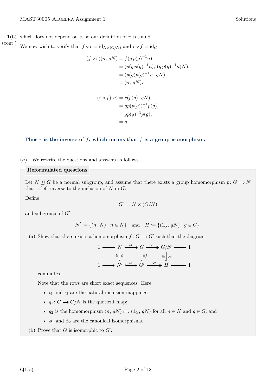We now wish to verify that  $f \circ r = id_{N \times (G/N)}$  and  $r \circ f = id_G$ . (cont.)

$$
(f \circ r)(n, gN) = f(g p(g)^{-1}n),
$$
  
=  $(p(g p(g)^{-1}n), (g p(g)^{-1}n)N),$   
=  $(p(g)p(g)^{-1}n, gN),$   
=  $(n, gN).$ 

$$
(r \circ f)(g) = r(p(g), gN),
$$
  
=  $gp(p(g))^{-1}p(g),$   
=  $gp(g)^{-1}p(g),$   
=  $g.$ 

**Thus** *r* **is the inverse of** *f***, which means that** *f* **is a group isomorphism.**

**(c)** We rewrite the questions and answers as follows.

#### **Reformulated questions**

Let  $N \leq G$  be a normal subgroup, and assume that there exists a group homomorphism  $p: G \to N$ that is left inverse to the inclusion of *N* in *G*.

Define

$$
G' \coloneqq N \times (G/N)
$$

and subgroups of  $G'$ 

$$
N' := \{(n, N) \mid n \in N\} \text{ and } H := \{(1_G, gN) \mid g \in G\}.
$$

(a) Show that there exists a homomorphism  $f: G \longrightarrow G'$  such that the diagram

$$
1 \longrightarrow N \xrightarrow{\iota_1} G \xrightarrow{q_1} G/N \longrightarrow 1
$$

$$
\cong \downarrow \phi_1 \qquad \qquad \downarrow \exists f \qquad \cong \downarrow \phi_2
$$

$$
1 \longrightarrow N' \xrightarrow{\iota_2} G' \xrightarrow{q_2} H \longrightarrow 1
$$

commutes.

Note that the rows are short exact sequences. Here

- *ι*<sup>1</sup> and *ι*<sup>2</sup> are the natural inclusion mappings;
- $q_1: G \longrightarrow G/N$  is the quotient map;
- *q*<sub>2</sub> is the homomorphism  $(n, gN) \mapsto (1_G, gN)$  for all  $n \in N$  and  $g \in G$ ; and
- $\phi_1$  and  $\phi_2$  are the canonical isomorphisms.
- (b) Prove that  $G$  is isomorphic to  $G'$ .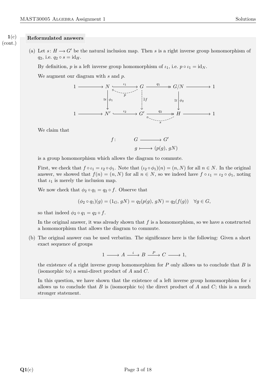#### **Reformulated answers 1**(c) (cont.)

(a) Let  $s: H \longrightarrow G'$  be the natural inclusion map. Then *s* is a right inverse group homomorphism of *q*<sub>2</sub>, i.e.  $q_2 \circ s = id_H$ .

By definition, *p* is a left inverse group homomorphism of  $\iota_1$ , i.e.  $p \circ \iota_1 = id_N$ .

We augment our diagram with *s* and *p*.



We claim that

$$
f: \qquad G \longrightarrow G'
$$

$$
g \longmapsto (p(g), gN)
$$

is a group homomorphism which allows the diagram to commute.

First, we check that  $f \circ \iota_1 = \iota_2 \circ \phi_1$ . Note that  $(\iota_2 \circ \phi_1)(n) = (n, N)$  for all  $n \in N$ . In the original answer, we showed that  $f(n) = (n, N)$  for all  $n \in N$ , so we indeed have  $f \circ \iota_1 = \iota_2 \circ \phi_1$ , noting that  $i_1$  is merely the inclusion map.

We now check that  $\phi_2 \circ q_1 = q_2 \circ f$ . Observe that

$$
(\phi_2 \circ q_1)(g) = (1_G, gN) = q_2(p(g), gN) = q_2(f(g)) \quad \forall g \in G,
$$

so that indeed  $\phi_2 \circ q_1 = q_2 \circ f$ .

In the original answer, it was already shown that *f* is a homomorphism, so we have a constructed a homomorphism that allows the diagram to commute.

(b) The original answer can be used verbatim. The significance here is the following: Given a short exact sequence of groups

$$
1\longrightarrow A\stackrel{i}{\longrightarrow} B\stackrel{P}{\longrightarrow} C\longrightarrow 1,
$$

the existence of a right inverse group homomorphism for *P* only allows us to conclude that *B* is (isomorphic to) a semi-direct product of *A* and *C*.

In this question, we have shown that the existence of a left inverse group homomorphism for *i* allows us to conclude that *B* is (isomorphic to) the direct product of *A* and *C*; this is a much stronger statement.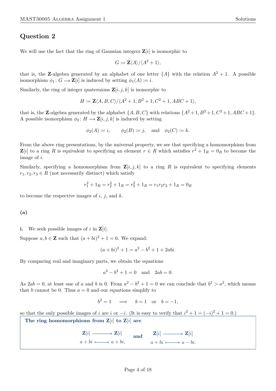We will use the fact that the ring of Gaussian integers  $\mathbf{Z}[i]$  is isomorphic to

$$
G \coloneqq \mathbf{Z} \langle A \rangle / \langle A^2 + 1 \rangle,
$$

that is, the **Z**-algebra generated by an alphabet of one letter  $\{A\}$  with the relation  $A^2 + 1$ . A possible isomorphism  $\phi_1: G \longrightarrow \mathbf{Z}[i]$  is induced by setting  $\phi_1(A) := i$ .

Similarly, the ring of integer quaternions  $\mathbf{Z}[i, j, k]$  is isomorphic to

$$
H \coloneqq \mathbf{Z} \langle A, B, C \rangle / \langle A^2 + 1, B^2 + 1, C^2 + 1, ABC + 1 \rangle,
$$

that is, the **Z**-algebra generated by the alphabet  $\{A, B, C\}$  with relations  $\{A^2 + 1, B^2 + 1, C^2 + 1, ABC + 1\}$ . A possible isomorphism  $\phi_2: H \longrightarrow \mathbf{Z}[i, j, k]$  is induced by setting

$$
\phi_2(A) \coloneqq i, \qquad \phi_2(B) \coloneqq j, \quad \text{and} \quad \phi_2(C) \coloneqq k.
$$

From the above ring presentations, by the universal property, we see that specifying a homomorphism from  $\mathbf{Z}[i]$  to a ring *R* is equivalent to specifying an element  $r \in R$  which satisfies  $r^2 + 1_R = 0_R$  to become the image of *i*.

Similarly, specifying a homomorphism from  $\mathbf{Z}[i, j, k]$  to a ring R is equivalent to specifying elements  $r_1, r_2, r_3 \in R$  (not necessarily distinct) which satisfy

$$
r_1^2 + 1_R = r_2^2 + 1_R = r_3^2 + 1_R = r_1 r_2 r_3 + 1_R = 0_R
$$

to become the respective images of *i*, *j*, and *k*.

**(a)**

<span id="page-5-0"></span>**i.** We seek possible images of *i* in  $\mathbf{Z}[i]$ .

Suppose  $a, b \in \mathbb{Z}$  such that  $(a + bi)^2 + 1 = 0$ . We expand:

$$
(a+bi)^2 + 1 = a^2 - b^2 + 1 + 2abi.
$$

By comparing real and imaginary parts, we obtain the equations

$$
a^2 - b^2 + 1 = 0
$$
 and  $2ab = 0$ .

As  $2ab = 0$ , at least one of *a* and *b* is 0. From  $a^2 - b^2 + 1 = 0$  we can conclude that  $b^2 > a^2$ , which means that *b* cannot be 0. Thus  $a = 0$  and our equations simplify to

$$
b2 = 1 \implies b = 1
$$
 or  $b = -1$ ,

so that the only possible images of *i* are *i* or  $-i$ . (It is easy to verify that  $i^2 + 1 = (-i)^2 + 1 = 0$ .)

**The ring homomorphisms from Z**[*i*] **to Z**[*i*] **are**

$$
\mathbf{Z}[i] \longrightarrow \mathbf{Z}[i] \quad \text{and} \quad \mathbf{Z}[i] \longrightarrow \mathbf{Z}[i]
$$
\n
$$
a + bi \longmapsto a + bi, \quad a + bi \longmapsto a - bi.
$$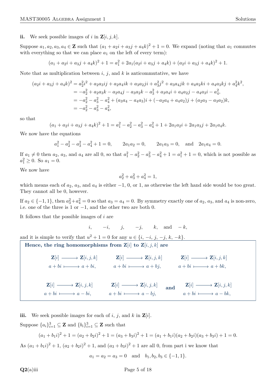#### <span id="page-6-0"></span>**ii.** We seek possible images of *i* in  $\mathbf{Z}[i, j, k]$ .

Suppose  $a_1, a_2, a_3, a_4 \in \mathbb{Z}$  such that  $(a_1 + a_2i + a_3j + a_4k)^2 + 1 = 0$ . We expand (noting that  $a_1$  commutes with everything so that we can place  $a_1$  on the left of every term):

$$
(a_1 + a_2i + a_3j + a_4k)^2 + 1 = a_1^2 + 2a_1(a_2i + a_3j + a_4k) + (a_2i + a_3j + a_4k)^2 + 1.
$$

Note that as multiplication between  $i, j$ , and  $k$  is anticommutative, we have

$$
(a_2i + a_3j + a_4k)^2 = a_2^2i^2 + a_2a_3ij + a_2a_4ik + a_3a_2ji + a_3^2j^2 + a_3a_4jk + a_4a_2ki + a_4a_3kj + a_4^2k^2,
$$
  
=  $-a_2^2 + a_2a_3k - a_2a_4j - a_3a_2k - a_3^2 + a_3a_4i + a_4a_2j - a_4a_3i - a_4^2,$   
=  $-a_2^2 - a_3^2 - a_4^2 + (a_3a_4 - a_4a_3)i + (-a_2a_4 + a_4a_2)j + (a_2a_3 - a_3a_2)k,$   
=  $-a_2^2 - a_3^2 - a_4^2,$ 

so that

$$
(a_1 + a_2i + a_3j + a_4k)^2 + 1 = a_1^2 - a_2^2 - a_3^2 - a_4^2 + 1 + 2a_1a_2i + 2a_1a_3j + 2a_1a_4k.
$$

We now have the equations

$$
a_1^2 - a_2^2 - a_3^2 - a_4^2 + 1 = 0
$$
,  $2a_1a_2 = 0$ ,  $2a_1a_3 = 0$ , and  $2a_1a_4 = 0$ .

If  $a_1 \neq 0$  then  $a_2$ ,  $a_3$ , and  $a_4$  are all 0, so that  $a_1^2 - a_2^2 - a_3^2 - a_4^2 + 1 = a_1^2 + 1 = 0$ , which is not possible as  $a_1^2 \geq 0$ . So  $a_1 = 0$ .

We now have

$$
a_2^2 + a_3^2 + a_4^2 = 1,
$$

which means each of  $a_2$ ,  $a_3$ , and  $a_4$  is either  $-1$ , 0, or 1, as otherwise the left hand side would be too great. They cannot all be 0, however.

If  $a_2 \in \{-1, 1\}$ , then  $a_3^2 + a_4^2 = 0$  so that  $a_3 = a_4 = 0$ . By symmetry exactly one of  $a_2$ ,  $a_3$ , and  $a_4$  is non-zero, i.e. one of the three is 1 or −1, and the other two are both 0.

It follows that the possible images of *i* are

$$
i, -i, j, -j, k, and -k,
$$

and it is simple to verify that  $u^2 + 1 = 0$  for any  $u \in \{i, -i, j, -j, k, -k\}.$ 

Hence, the ring homomorphisms from  $\mathbf{Z}[i]$  to  $\mathbf{Z}[i,j,k]$  are

 $\mathbf{Z}[i] \longrightarrow \mathbf{Z}[i,j,k] \quad\qquad \mathbf{Z}[i] \longrightarrow \mathbf{Z}[i,j,k] \quad\qquad \mathbf{Z}[i] \longrightarrow \mathbf{Z}[i,j,k]$  $a + bi \longmapsto a + bi,$  $a + bi \longmapsto a + bi,$  $a + bi \longmapsto a + bk$  $\mathbf{Z}[i] \longrightarrow \mathbf{Z}[i,j,k] \longrightarrow \mathbf{Z}[i] \longrightarrow \mathbf{Z}[i,j,k]$  $a + bi \longrightarrow a - bi, \qquad a + bi \longmapsto a - bj,$ and  $\mathbf{Z}[i] \longrightarrow \mathbf{Z}[i,j,k]$  $a + bi \longmapsto a - bk$ 

<span id="page-6-1"></span>**iii.** We seek possible images for each of  $i$ ,  $j$ , and  $k$  in  $\mathbf{Z}[i]$ .

Suppose  ${a_i}_{i=1}^3 \subseteq \mathbf{Z}$  and  ${b_i}_{i=1}^3 \subseteq \mathbf{Z}$  such that

$$
(a_1 + b_1i)^2 + 1 = (a_2 + b_2i)^2 + 1 = (a_3 + b_3i)^2 + 1 = (a_1 + b_1i)(a_2 + b_2i)(a_3 + b_3i) + 1 = 0.
$$
  
As  $(a_1 + b_1i)^2 + 1$ ,  $(a_2 + b_2i)^2 + 1$ , and  $(a_3 + b_3i)^2 + 1$  are all 0, from part i we know that

 $a_1 = a_2 = a_3 = 0$  and  $b_1, b_2, b_3 \in \{-1, 1\}.$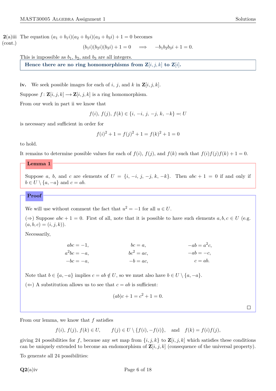**2**(a)iii The equation  $(a_1 + b_1i)(a_2 + b_2i)(a_3 + b_3i) + 1 = 0$  becomes (cont.)

$$
(b_1 i)(b_2 i)(b_3 i) + 1 = 0 \implies -b_1 b_2 b_3 i + 1 = 0.
$$

This is impossible as  $b_1$ ,  $b_2$ , and  $b_3$  are all integers.

**Hence there are no ring homomorphisms from**  $\mathbf{Z}[i, j, k]$  **to**  $\mathbf{Z}[i]$ **.** 

<span id="page-7-1"></span>**iv.** We seek possible images for each of *i*, *j*, and *k* in  $\mathbf{Z}[i, j, k]$ .

Suppose  $f: \mathbf{Z}[i, j, k] \longrightarrow \mathbf{Z}[i, j, k]$  is a ring homomorphism.

From our work in part [ii](#page-6-0) we know that

$$
f(i),\,f(j),\,f(k) \in \{i,\,-i,\,j,\,-j,\,k,\,-k\}=:U
$$

is necessary and sufficient in order for

$$
f(i)^{2} + 1 = f(j)^{2} + 1 = f(k)^{2} + 1 = 0
$$

to hold.

<span id="page-7-0"></span>It remains to determine possible values for each of  $f(i)$ ,  $f(j)$ , and  $f(k)$  such that  $f(i)f(j)f(k) + 1 = 0$ .

#### **Lemma 1**

Suppose *a*, *b*, and *c* are elements of  $U = \{i, -i, j, -j, k, -k\}$ . Then  $abc + 1 = 0$  if and only if  $b \in U \setminus \{a, -a\}$  and  $c = ab$ .

**Proof**

We will use without comment the fact that  $u^2 = -1$  for all  $u \in U$ .

 $(\Rightarrow)$  Suppose  $abc + 1 = 0$ . First of all, note that it is possible to have such elements  $a, b, c \in U$  (e.g.  $(a, b, c) = (i, j, k)$ .

Necessarily,

| $abc = -1,$  | $bc = a$ ,    | $-ab=a2c,$ |
|--------------|---------------|------------|
| $a^2bc = -a$ | $bc^2 = ac$ , | $-ab=-c,$  |
| $-bc=-a,$    | $-b = ac$ ,   | $c = ab$ . |

Note that  $b \in \{a, -a\}$  implies  $c = ab \notin U$ , so we must also have  $b \in U \setminus \{a, -a\}$ .

 $(\Leftarrow)$  A substitution allows us to see that  $c = ab$  is sufficient:

$$
(ab)c + 1 = c^2 + 1 = 0.
$$

 $\Box$ 

From our lemma, we know that *f* satisfies

*f*(*i*)*, f*(*j*)*, f*(*k*)  $\in$  *U, f*(*j*)  $\in$  *U* \ {*f*(*i*)*,*  $-f(i)$ }*,* and *f*(*k*) = *f*(*i*)*f*(*j*)*,* 

giving 24 possibilities for f, because any set map from  $\{i, j, k\}$  to  $\mathbf{Z}[i, j, k]$  which satisfies these conditions can be uniquely extended to become an endomorphism of  $\mathbf{Z}[i, j, k]$  (consequence of the universal property).

To generate all 24 possibilities: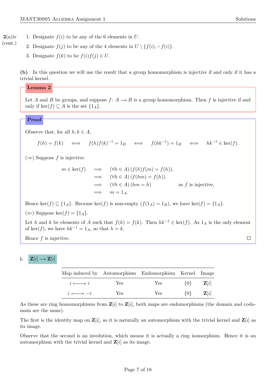$\Box$ 

- 1. Designate  $f(i)$  to be any of the 6 elements in  $U$ . **2**(a)iv
	- 2. Designate  $f(j)$  to be any of the 4 elements in  $U \setminus \{f(i), -f(i)\}.$ 
		- 3. Designate  $f(k)$  to be  $f(i)f(j) \in U$ .

**(b)** In this question we will use the result that a group homomorphism is injective if and only if it has a trivial kernel.

#### <span id="page-8-0"></span>**Lemma 2**

(cont.)

Let *A* and *B* be groups, and suppose  $f: A \rightarrow B$  is a group homomorphism. Then *f* is injective if and only if ker(*f*) ⊆ *A* is the set {1<sub>*A*</sub>}.

### **Proof**

Observe that, for all  $h, k \in A$ ,

 $f(h) = f(k) \iff f(h)f(k)^{-1} = 1_B \iff f(hk^{-1}) = 1_B \iff hk^{-1} \in \text{ker}(f).$ 

 $(\Rightarrow)$  Suppose *f* is injective.

$$
m \in \ker(f) \implies (\forall h \in A) (f(h)f(m) = f(h)),
$$
  
\n
$$
\implies (\forall h \in A) (f(hm) = f(h)),
$$
  
\n
$$
\implies (\forall h \in A) (hm = h) \text{ as } f \text{ is injective,}
$$
  
\n
$$
\implies m = 1_A.
$$

Hence ker(*f*)  $\subseteq$  {1<sub>*A*</sub>}. Because ker(*f*) is non-empty (*f*(1<sub>*A*</sub>) = 1<sub>*B*</sub>), we have ker(*f*) = {1<sub>*A*</sub>}.

( $\Leftarrow$ ) Suppose ker( $f$ ) = {1<sub>A</sub>}.

Let *h* and *k* be elements of *A* such that  $f(h) = f(k)$ . Then  $hk^{-1} \in \text{ker}(f)$ . As  $1_A$  is the only element of ker(*f*), we have  $hk^{-1} = 1_A$ , so that  $h = k$ .

Hence *f* is injective.

#### i.  $\mathbf{Z}[i] \longrightarrow \mathbf{Z}[i]$

|                    |      | Map induced by Automorphism Endomorphism Kernel Image |                         |                         |
|--------------------|------|-------------------------------------------------------|-------------------------|-------------------------|
| $i \longmapsto i$  | Yes. | Yes                                                   | $\{0\}$ $\mathbf{Z}[i]$ |                         |
| $i \longmapsto -i$ | Yes  | Yes                                                   |                         | $\{0\}$ $\mathbf{Z}[i]$ |

As these are ring homomorphisms from  $\mathbf{Z}[i]$  to  $\mathbf{Z}[i]$ , both maps are endomorphisms (the domain and codomain are the same).

The first is the identity map on  $\mathbf{Z}[i]$ , so it is naturally an automorphism with the trivial kernel and  $\mathbf{Z}[i]$  as its image.

Observe that the second is an involution, which means it is actually a ring isomorphism. Hence it is an automorphism with the trivial kernel and  $\mathbf{Z}[i]$  as its image.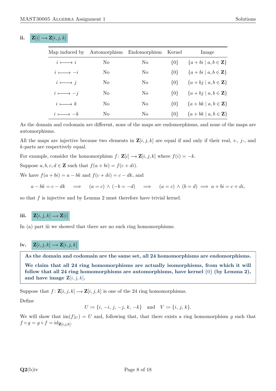### **ii.**  $\mathbf{Z}[i] \rightarrow \mathbf{Z}[i, j, k]$

| Map induced by     |                | Automorphism Endomorphism Kernel |         | Image                                          |
|--------------------|----------------|----------------------------------|---------|------------------------------------------------|
| $i \longmapsto i$  | No.            | No                               |         | $\{0\}$ $\{a+bi \mid a,b \in \mathbf{Z}\}\$    |
| $i \longmapsto -i$ | No.            | No                               | $\{0\}$ | ${a+bi \mid a,b \in \mathbf{Z}}$               |
| $i \longmapsto j$  | No.            | No.                              |         | $\{0\}$ $\{a+bj \mid a,b \in \mathbf{Z}\}\$    |
| $i \longmapsto -j$ | N <sub>0</sub> | No                               |         | $\{0\}$ $\{a + bj \mid a, b \in \mathbf{Z}\}\$ |
| $i \longmapsto k$  | No.            | No.                              | 10 F    | $\{a+bk \mid a,b \in \mathbf{Z}\}\$            |
| $i \longmapsto -k$ | No.            | No                               | $\{0\}$ | ${a + bk \mid a, b \in \mathbf{Z}}$            |

As the domain and codomain are different, none of the maps are endomorphisms, and none of the maps are automorphisms.

All the maps are injective because two elements in  $\mathbf{Z}[i, j, k]$  are equal if and only if their real, *i*-, *j*-, and *k*-parts are respectively equal.

For example, consider the homomorphism  $f: \mathbf{Z}[i] \rightarrow \mathbf{Z}[i, j, k]$  where  $f(i) = -k$ .

Suppose  $a, b, c, d \in \mathbf{Z}$  such that  $f(a + bi) = f(c + di)$ .

We have  $f(a + bi) = a - bk$  and  $f(c + di) = c - dk$ , and

 $a - bk = c - dk \implies (a = c) \land (-b = -d) \implies (a = c) \land (b = d) \implies a + bi = c + di.$ 

so that *f* is injective and by [Lemma 2](#page-8-0) must therefore have trivial kernel.

### **iii.**  $\mathbf{Z}[i, j, k] \longrightarrow \mathbf{Z}[i]$

In [\(a\) part iii](#page-6-1) we showed that there are no such ring homomorphisms.

## $\mathbf{i}\mathbf{v}$ .  $\mathbf{Z}[i,j,k] \rightarrow \mathbf{Z}[i,j,k]$

**As the domain and codomain are the same set, all 24 homomorphisms are endomorphisms. We claim that all 24 ring homomorphisms are actually isomorphisms, from which it will follow that all 24 ring homomorphisms are automorphisms, have kernel** {0} **(by [Lemma 2\)](#page-8-0),** and have image  $\mathbf{Z}[i, j, k]$ **.** 

Suppose that  $f: \mathbf{Z}[i, j, k] \longrightarrow \mathbf{Z}[i, j, k]$  is one of the 24 ring homomorphisms.

Define

$$
U \coloneqq \{i, -i, j, -j, k, -k\} \quad \text{and} \quad V \coloneqq \{i, j, k\}.
$$

<span id="page-9-0"></span>We will show that  $\text{im}(f|_U) = U$  and, following that, that there exists a ring homomorphism *g* such that  $f \circ g = g \circ f = id_{\mathbf{Z}[i,j,k]}$ .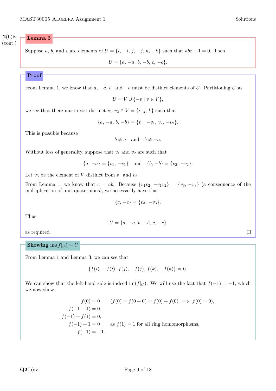**2**(b)iv (cont.)

### **Lemma 3**

Suppose *a*, *b*, and *c* are elements of  $U = \{i, -i, j, -j, k, -k\}$  such that  $abc + 1 = 0$ . Then

 $U = \{a, -a, b, -b, c, -c\}.$ 

### **Proof**

From [Lemma 1,](#page-7-0) we know that *a*, −*a*, *b*, and −*b* must be distinct elements of *U*. Partitioning *U* as

$$
U = V \cup \{-v \mid v \in V\},\
$$

we see that there must exist distinct  $v_1, v_2 \in V = \{i, j, k\}$  such that

$$
\{a, -a, b, -b\} = \{v_1, -v_1, v_2, -v_2\}.
$$

This is possible because

$$
b \neq a
$$
 and  $b \neq -a$ .

Without loss of generality, suppose that  $v_1$  and  $v_2$  are such that

$$
\{a, -a\} = \{v_1, -v_1\} \text{ and } \{b, -b\} = \{v_2, -v_2\}.
$$

Let  $v_3$  be the element of *V* distinct from  $v_1$  and  $v_2$ .

From [Lemma 1,](#page-7-0) we know that  $c = ab$ . Because  $\{v_1v_2, -v_1v_2\} = \{v_3, -v_3\}$  (a consequence of the multiplication of unit quaternions), we necessarily have that

$$
\{c, -c\} = \{v_3, -v_3\}.
$$

Thus

$$
U = \{a, -a, b, -b, c, -c\}
$$

as required.

### **Showing**  $\text{im}(f|_U) = U$

From [Lemma 1](#page-7-0) and [Lemma 3,](#page-9-0) we can see that

$$
\{f(i), -f(i), f(j), -f(j), f(k), -f(k)\} = U.
$$

We can show that the left-hand side is indeed im( $f|_U$ ). We will use the fact that  $f(-1) = -1$ , which we now show.

$$
f(0) = 0 \t (f(0) = f(0+0) = f(0) + f(0) \implies f(0) = 0),
$$
  
\n
$$
f(-1+1) = 0,
$$
  
\n
$$
f(-1) + f(1) = 0,
$$
  
\n
$$
f(-1) + 1 = 0 \text{ as } f(1) = 1 \text{ for all ring homomorphisms,}
$$
  
\n
$$
f(-1) = -1.
$$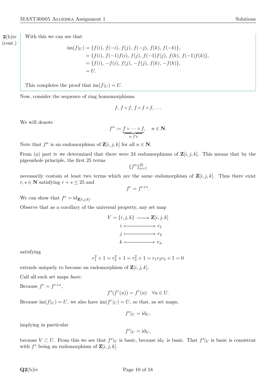With this we can see that **2**(b)iv

(cont.)

$$
\begin{aligned} \text{im}(f|_U) &= \{ f(i), \ f(-i), \ f(j), \ f(-j), \ f(k), \ f(-k) \}, \\ &= \{ f(i), \ f(-1)f(i), \ f(j), \ f(-1)f(j), \ f(k), \ f(-1)f(k) \}, \\ &= \{ f(i), \ -f(i), \ f(j), \ -f(j), \ f(k), \ -f(k) \}, \\ &= U. \end{aligned}
$$

This completes the proof that  $\text{im}(f|_U) = U$ .

Now, consider the sequence of ring homomorphisms

$$
f, f \circ f, f \circ f \circ f, \ldots
$$

We will denote

$$
f^n := \underbrace{f \circ \cdots \circ f}_{n \ f^s}, \quad n \in \mathbb{N}.
$$

Note that  $f^n$  is an endomorphism of  $\mathbf{Z}[i, j, k]$  for all  $n \in \mathbb{N}$ .

From [\(a\) part iv](#page-7-1) we determined that there were 24 endomorphisms of  $\mathbf{Z}[i, j, k]$ . This means that by the pigeonhole principle, the first 25 terms

$$
\{f^n\}_{n=1}^{25}
$$

necessarily contain at least two terms which are the same endomorphism of  $\mathbf{Z}[i, j, k]$ . Thus there exist  $r, s \in \mathbb{N}$  satisfying  $r + s \leq 25$  and

$$
f^r = f^{r+s}.
$$

We can show that  $f^s = \mathrm{id}_{\mathbf{Z}[i,j,k]}$ .

Observe that as a corollary of the universal property, any set map

$$
V = \{i, j, k\} \longrightarrow \mathbf{Z}[i, j, k]
$$

$$
i \longmapsto r_1
$$

$$
j \longmapsto r_2
$$

$$
k \longmapsto r_3,
$$

satisfying

$$
r_1^2 + 1 = r_2^2 + 1 = r_3^2 + 1 = r_1 r_2 r_3 + 1 = 0
$$

extends uniquely to become an endomorphism of  $\mathbf{Z}[i, j, k]$ .

Call all such set maps *basic*.

Because  $f^r = f^{r+s}$ ,

$$
f^s(f^r(u)) = f^r(u) \quad \forall u \in U.
$$

Because  $\text{im}(f|_U) = U$ , we also have  $\text{im}(f^r|_U) = U$ , so that, as set maps,

$$
f^s|_U = \mathrm{id}_U,
$$

implying in particular

$$
f^s|_V = \mathrm{id}_V,
$$

because  $V \subset U$ . From this we see that  $f^s|_V$  is basic, because id<sub>V</sub> is basic. That  $f^s|_V$  is basic is consistent with  $f^s$  being an endomorphism of  $\mathbf{Z}[i, j, k]$ .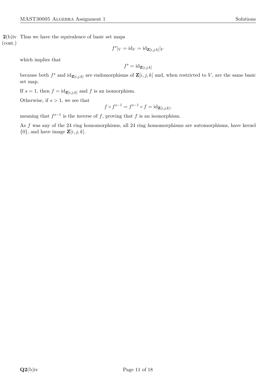which implies that

$$
f^s = \mathrm{id}_{\mathbf{Z}[i,j,k]}
$$

because both  $f^s$  and  $id_{\mathbf{Z}[i,j,k]}$  are endomorphisms of  $\mathbf{Z}[i,j,k]$  and, when restricted to *V*, are the same basic set map.

If  $s = 1$ , then  $f = id_{\mathbf{Z}[i,j,k]}$  and  $f$  is an isomorphism.

Otherwise, if  $s > 1$ , we see that

$$
f \circ f^{s-1} = f^{s-1} \circ f = id_{\mathbf{Z}[i,j,k]},
$$

meaning that  $f^{s-1}$  is the inverse of *f*, proving that *f* is an isomorphism.

As *f* was any of the 24 ring homomorphisms, all 24 ring homomorphisms are automorphisms, have kernel  $\{0\}$ , and have image  $\mathbf{Z}[i, j, k]$ .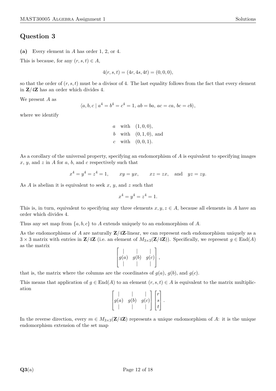**(a)** Every element in *A* has order 1, 2, or 4.

This is because, for any  $(r, s, t) \in A$ ,

$$
4(r, s, t) = (4r, 4s, 4t) = (0, 0, 0),
$$

so that the order of  $(r, s, t)$  must be a divisor of 4. The last equality follows from the fact that every element in **Z***/*4**Z** has an order which divides 4.

We present *A* as

$$
\langle a, b, c \mid a^4 = b^4 = c^4 = 1, ab = ba, ac = ca, bc = cb \rangle
$$

where we identify

a with 
$$
(1,0,0)
$$
,  
b with  $(0,1,0)$ , and  
c with  $(0,0,1)$ .

As a corollary of the universal property, specifying an endomorphism of *A* is equivalent to specifying images *x*, *y*, and *z* in *A* for *a*, *b*, and *c* respectively such that

$$
x^4 = y^4 = z^4 = 1, \qquad xy = yx, \qquad xz = zx, \quad \text{and} \quad yz = zy.
$$

As *A* is abelian it is equivalent to seek *x*, *y*, and *z* such that

$$
x^4 = y^4 = z^4 = 1.
$$

This is, in turn, equivalent to specifying any three elements  $x, y, z \in A$ , because all elements in *A* have an order which divides 4.

Thus any set map from {*a, b, c*} to *A* extends uniquely to an endomorphism of *A*.

As the endomorphisms of *A* are naturally **Z***/*4**Z**-linear, we can represent each endomorphism uniquely as a  $3 \times 3$  matrix with entries in **Z**/4**Z** (i.e. an element of  $M_{3\times3}(\mathbf{Z}/4\mathbf{Z})$ ). Specifically, we represent  $g \in \text{End}(A)$ as the matrix

$$
\left[g(a) \quad g(b) \quad g(c) \atop \left| \begin{array}{cc} | & | \\ g(a) & g(b) & g(c) \\ | & | & | \end{array}\right|\right],
$$

that is, the matrix where the columns are the coordinates of  $g(a)$ ,  $g(b)$ , and  $g(c)$ .

This means that application of  $g \in \text{End}(A)$  to an element  $(r, s, t) \in A$  is equivalent to the matrix multiplication

$$
\begin{bmatrix} | & | & | \\ g(a) & g(b) & g(c) \\ | & | & | & | \end{bmatrix} \begin{bmatrix} r \\ s \\ t \end{bmatrix}.
$$

In the reverse direction, every  $m \in M_{3\times 3}(\mathbf{Z}/4\mathbf{Z})$  represents a unique endomorphism of A: it is the unique endomorphism extension of the set map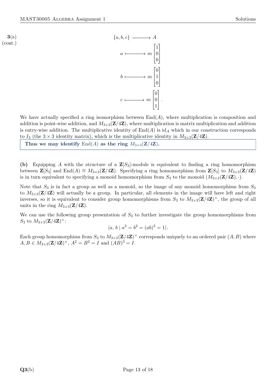**3**(a) (cont.)



We have actually specified a ring isomorphism between  $End(A)$ , where multiplication is composition and addition is point-wise addition, and  $M_{3\times3}(\mathbf{Z}/4\mathbf{Z})$ , where multiplication is matrix multiplication and addition is entry-wise addition. The multiplicative identity of  $\text{End}(A)$  is  $\text{id}_A$  which in our construction corresponds to  $I_3$  (the  $3 \times 3$  identity matrix), which is the multiplicative identity in  $M_{3\times 3}(\mathbf{Z}/4\mathbf{Z})$ .

Thus we may identify  $\text{End}(A)$  as the ring  $M_{3\times3}(\mathbf{Z}/4\mathbf{Z})$ .

**(b)** Equipping *A* with the structure of a **Z**[*S*3]-module is equivalent to finding a ring homomorphism between  $\mathbf{Z}[S_3]$  and  $\text{End}(A) \cong M_{3\times 3}(\mathbf{Z}/4\mathbf{Z})$ . Specifying a ring homomorphism from  $\mathbf{Z}[S_3]$  to  $M_{3\times 3}(\mathbf{Z}/4\mathbf{Z})$ is in turn equivalent to specifying a monoid homomorphism from  $S_3$  to the monoid  $(M_{3\times3}(\mathbf{Z}/4\mathbf{Z}),\cdot)$ .

Note that  $S_3$  is in fact a group as well as a monoid, so the image of any monoid homomorphism from  $S_3$ to  $M_{3\times3}(\mathbf{Z}/4\mathbf{Z})$  will actually be a group. In particular, all elements in the image will have left and right inverses, so it is equivalent to consider group homomorphisms from  $S_3$  to  $M_{3\times3}(\mathbf{Z}/4\mathbf{Z})^{\times}$ , the group of all units in the ring  $M_{3\times3}(\mathbf{Z}/4\mathbf{Z})$ .

We can use the following group presentation of *S*<sup>3</sup> to further investigate the group homomorphisms from S<sub>3</sub> to  $M_{3\times3}(\mathbf{Z}/4\mathbf{Z})^{\times}$ :

$$
\langle a, b \mid a^2 = b^2 = (ab)^3 = 1 \rangle.
$$

Each group homomorphism from  $S_3$  to  $M_{3\times3}(\mathbf{Z}/4\mathbf{Z})^{\times}$  corresponds uniquely to an ordered pair  $(A, B)$  where  $A, B \in M_{3 \times 3}(\mathbf{Z}/4\mathbf{Z})^{\times}, A^2 = B^2 = I \text{ and } (AB)^3 = I.$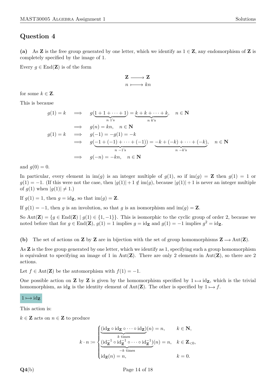**(a)** As **Z** is the free group generated by one letter, which we identify as  $1 \in \mathbb{Z}$ , any endomorphism of **Z** is completely specified by the image of 1.

Every  $g \in \text{End}(\mathbf{Z})$  is of the form

$$
\begin{array}{c}\mathbf{Z} \longrightarrow \mathbf{Z} \\ n \longmapsto kn \end{array}
$$

for some  $k \in \mathbf{Z}$ .

This is because

$$
g(1) = k \implies g(\underbrace{1+1+\cdots+1}_{n \text{ 1's}}) = \underbrace{k+k+\cdots+k}_{n \text{ k's}}, \quad n \in \mathbb{N}
$$
  
\n
$$
\implies g(n) = kn, \quad n \in \mathbb{N}
$$
  
\n
$$
g(1) = k \implies g(-1) = -g(1) = -k
$$
  
\n
$$
\implies g(-1+(-1)+\cdots+(-1)) = -k+(-k)+\cdots+(-k), \quad n \in \mathbb{N}
$$
  
\n
$$
\implies g(-n) = -kn, \quad n \in \mathbb{N}
$$

and  $g(0) = 0$ .

In particular, every element in  $\text{im}(q)$  is an integer multiple of  $q(1)$ , so if  $\text{im}(q) = \mathbf{Z}$  then  $q(1) = 1$  or  $g(1) = -1$ . (If this were not the case, then  $|g(1)| + 1 \notin \text{im}(g)$ , because  $|g(1)| + 1$  is never an integer multiple of  $g(1)$  when  $|g(1)| \neq 1$ .)

If  $g(1) = 1$ , then  $g = id_{\mathbf{Z}}$ , so that  $\text{im}(g) = \mathbf{Z}$ .

If  $g(1) = -1$ , then *g* is an involution, so that *g* is an isomorphism and im $(g) = \mathbf{Z}$ .

So Aut(**Z**) = { $g \in$  End(**Z**) |  $g(1) \in \{1, -1\}$ }. This is isomorphic to the cyclic group of order 2, because we noted before that for  $g \in \text{End}(\mathbf{Z})$ ,  $g(1) = 1$  implies  $g = id_{\mathbf{Z}}$  and  $g(1) = -1$  implies  $g^2 = id_{\mathbf{Z}}$ .

**(b)** The set of actions on **Z** by **Z** are in bijection with the set of group homomorphisms  $\mathbf{Z} \rightarrow Aut(\mathbf{Z})$ .

As **Z** is the free group generated by one letter, which we identify as 1, specifying such a group homomorphism is equivalent to specifying an image of 1 in Aut(**Z**). There are only 2 elements in Aut(**Z**), so there are 2 actions.

Let  $f \in Aut(\mathbf{Z})$  be the automorphism with  $f(1) = -1$ .

One possible action on **Z** by **Z** is given by the homomorphism specified by  $1 \mapsto id_{\mathbf{Z}}$ , which is the trivial homomorphism, as idz is the identity element of Aut(**Z**). The other is specified by  $1 \mapsto f$ .

#### $1 \mapsto id_{\mathbf{Z}}$

This action is:

 $k \in \mathbb{Z}$  acts on  $n \in \mathbb{Z}$  to produce

$$
k \cdot n := \begin{cases} \underbrace{(\mathrm{id}_{\mathbf{Z}} \circ \mathrm{id}_{\mathbf{Z}} \circ \cdots \circ \mathrm{id}_{\mathbf{Z}})}_{\text{ k times}}(n) = n, & k \in \mathbf{N}, \\ \underbrace{(\mathrm{id}_{\mathbf{Z}}^{-1} \circ \mathrm{id}_{\mathbf{Z}}^{-1} \circ \cdots \circ \mathrm{id}_{\mathbf{Z}}^{-1})}_{-k \text{ times}}(n) = n, & k \in \mathbf{Z}_{< 0}, \\ \mathrm{id}_{\mathbf{Z}}(n) = n, & k = 0. \end{cases}
$$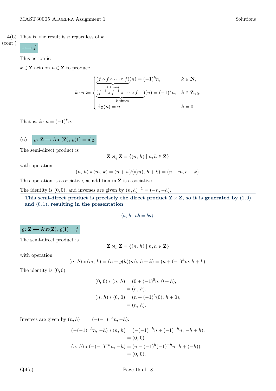$$
1 \mapsto f
$$

(cont.)

This action is:

 $k \in \mathbb{Z}$  acts on  $n \in \mathbb{Z}$  to produce

$$
k \cdot n := \begin{cases} \underbrace{(f \circ f \circ \cdots \circ f)}_{k \text{ times}}(n) = (-1)^k n, & k \in \mathbb{N}, \\ \underbrace{(f^{-1} \circ f^{-1} \circ \cdots \circ f^{-1})}_{-k \text{ times}}(n) = (-1)^k n, & k \in \mathbb{Z}_{< 0}, \\ \text{id}_{\mathbf{Z}}(n) = n, & k = 0. \end{cases}
$$

That is,  $k \cdot n = (-1)^k n$ .

(c) 
$$
\varrho: \mathbf{Z} \to \text{Aut}(\mathbf{Z}), \, \varrho(1) = \text{id}_{\mathbf{Z}}
$$

The semi-direct product is

$$
\mathbf{Z} \rtimes_{\varrho} \mathbf{Z} = \{(n, h) \mid n, h \in \mathbf{Z}\}
$$

with operation

$$
(n, h) * (m, k) = (n + \varrho(h)(m), h + k) = (n + m, h + k).
$$

This operation is associative, as addition in **Z** is associative.

The identity is  $(0,0)$ , and inverses are given by  $(n,h)^{-1} = (-n,-h)$ .

This semi-direct product is precisely the direct product  $\mathbf{Z} \times \mathbf{Z}$ , so it is generated by  $(1,0)$ **and** (0*,* 1)**, resulting in the presentation**

$$
\langle a, b \mid ab = ba \rangle.
$$

### $\varrho: \mathbf{Z} \longrightarrow \text{Aut}(\mathbf{Z}), \, \varrho(1) = f$

The semi-direct product is

$$
\mathbf{Z} \rtimes_{\varrho} \mathbf{Z} = \{(n, h) \mid n, h \in \mathbf{Z}\}
$$

with operation

$$
(n, h) * (m, k) = (n + \varrho(h)(m), h + k) = (n + (-1)^h m, h + k).
$$

The identity is (0*,* 0):

$$
(0, 0) * (n, h) = (0 + (-1)0n, 0 + h),
$$
  
= (n, h).  

$$
(n, h) * (0, 0) = (n + (-1)h(0), h + 0),
$$
  
= (n, h).

Inverses are given by  $(n, h)^{-1} = (-(-1)^{-h}n, -h)$ :

$$
(-(-1)^{-h}n, -h) * (n, h) = (-(-1)^{-h}n + (-1)^{-h}n, -h + h),
$$
  
= (0, 0).  

$$
(n, h) * (-(-1)^{-h}n, -h) = (n - (-1)^{h}(-1)^{-h}n, h + (-h)),
$$
  
= (0, 0).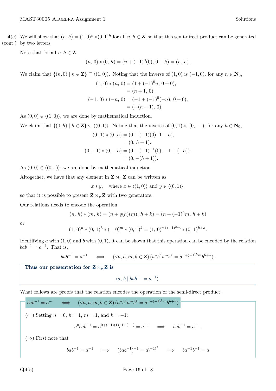4(c) We will show that  $(n, h) = (1, 0)^n * (0, 1)^h$  for all  $n, h \in \mathbb{Z}$ , so that this semi-direct product can be generated by two letters. (cont.)

Note that for all  $n, h \in \mathbb{Z}$ 

$$
(n, 0) * (0, h) = (n + (-1)^0(0), 0 + h) = (n, h).
$$

We claim that  $\{(n, 0) \mid n \in \mathbb{Z}\}\subseteq \langle (1, 0)\rangle$ . Noting that the inverse of  $(1, 0)$  is  $(-1, 0)$ , for any  $n \in \mathbb{N}_0$ ,

$$
(1, 0) * (n, 0) = (1 + (-1)^{0}n, 0 + 0),
$$
  
= (n + 1, 0).  

$$
(-1, 0) * (-n, 0) = (-1 + (-1)^{0}(-n), 0 + 0),
$$
  
= (- (n + 1), 0).

As  $(0,0) \in \langle (1,0) \rangle$ , we are done by mathematical induction.

We claim that  $\{(0, h) | h \in \mathbf{Z}\}\subseteq \langle (0, 1)\rangle$ . Noting that the inverse of  $(0, 1)$  is  $(0, -1)$ , for any  $h \in \mathbf{N}_0$ ,

$$
(0, 1) * (0, h) = (0 + (-1)(0), 1 + h),
$$
  
= (0, h + 1).  

$$
(0, -1) * (0, -h) = (0 + (-1)^{-1}(0), -1 + (-h)),
$$
  
= (0, -(h + 1)).

As  $(0,0) \in \langle (0,1) \rangle$ , we are done by mathematical induction.

Altogether, we have that any element in  $\mathbf{Z} \rtimes_{\rho} \mathbf{Z}$  can be written as

 $x * y$ , where  $x \in \langle (1,0) \rangle$  and  $y \in \langle (0,1) \rangle$ ,

so that it is possible to present  $\mathbf{Z} \rtimes_{\rho} \mathbf{Z}$  with two generators.

Our relations needs to encode the operation

$$
(n, h) * (m, k) = (n + \varrho(h)(m), h + k) = (n + (-1)^h m, h + k)
$$

or

$$
(1, 0)^{n} * (0, 1)^{h} * (1, 0)^{m} * (0, 1)^{k} = (1, 0)^{n + (-1)^{h}m} * (0, 1)^{h+k}.
$$

Identifying  $a$  with  $(1, 0)$  and  $b$  with  $(0, 1)$ , it can be shown that this operation can be encoded by the relation  $bab^{-1} = a^{-1}$ . That is,

$$
bab^{-1} = a^{-1} \qquad \Longleftrightarrow \qquad (\forall n, h, m, k \in \mathbf{Z}) \left( a^n b^h a^m b^k = a^{n+(-1)^h m} b^{h+k} \right).
$$

Thus our presentation for  $Z \rtimes_{\rho} Z$  is

 $\langle a, b \mid bab^{-1} = a^{-1} \rangle.$ 

What follows are proofs that the relation encodes the operation of the semi-direct product.

$$
bab^{-1} = a^{-1} \iff (\forall n, h, m, k \in \mathbf{Z}) (a^n b^h a^m b^k = a^{n+(-1)^h m} b^{h+k})
$$
  

$$
(\Leftarrow) Setting n = 0, h = 1, m = 1, and k = -1:
$$
  

$$
a^0 bab^{-1} = a^{0+(-1)(1)} b^{1+(-1)} = a^{-1} \implies bab^{-1} = a^{-1}.
$$

 $(\Rightarrow)$  First note that

 $bab^{-1} = a^{-1} \implies (bab^{-1})^{-1} = a^{(-1)^2} \implies ba^{-1}b^{-1} = a$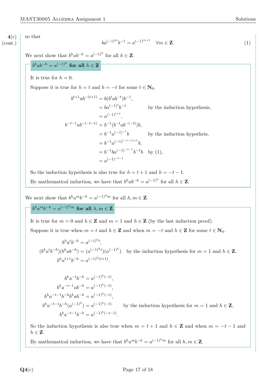**4**(c) (cont.) so that

<span id="page-18-0"></span>
$$
ba^{(-1)^m}b^{-1} = a^{(-1)^{m+1}} \quad \forall m \in \mathbf{Z}.
$$
 (1)

We next show that  $b^h a b^{-h} = a^{(-1)^h}$  for all  $h \in \mathbb{Z}$ .

$$
b^h ab^{-h} = a^{(-1)^h} \text{ for all } h \in \mathbf{Z}^{-1}
$$

It is true for  $h = 0$ .

Suppose it is true for  $h = t$  and  $h = -t$  for some  $t \in \mathbb{N}_0$ .

$$
b^{t+1}ab^{-(t+1)} = b(b^tab^{-t})b^{-1},
$$
  
\n
$$
= ba^{(-1)^t}b^{-1}
$$
 by the induction hypothesis,  
\n
$$
= a^{(-1)^{t+1}}.
$$
  
\n
$$
b^{-t-1}ab^{-(-t-1)} = b^{-1}(b^{-t}ab^{-(-t)})b,
$$
  
\n
$$
= b^{-1}a^{(-1)^{-t}}b
$$
 by the induction hypothesis,  
\n
$$
= b^{-1}a^{(-1)^{(-t-1)+1}}b,
$$
  
\n
$$
= b^{-1}ba^{(-1)^{-t-1}}b^{-1}b
$$
 by (1),  
\n
$$
= a^{(-1)^{-t-1}}
$$

So the induction hypothesis is also true for  $h = t + 1$  and  $h = -t - 1$ .

By mathematical induction, we have that  $b^h ab^{-h} = a^{(-1)^h}$  for all  $h \in \mathbb{Z}$ .

We next show that  $b^h a^m b^{-h} = a^{(-1)^h m}$  for all  $h, m \in \mathbb{Z}$ .

 $b^h a^m b^{-h} = a^{(-1)^h m}$  for all  $h, m \in \mathbb{Z}$ 

It is true for  $m = 0$  and  $h \in \mathbb{Z}$  and  $m = 1$  and  $h \in \mathbb{Z}$  (by the last induction proof). Suppose it is true when  $m = t$  and  $h \in \mathbb{Z}$  and when  $m = -t$  and  $h \in \mathbb{Z}$  for some  $t \in \mathbb{N}_0$ .

 $b^h a^t b^{-h} = a^{(-1)^h t}$  $(b^h a^t b^{-h})(b^h a b^{-h}) = (a^{(-1)^h t})(a^{(-1)^h})$  by the induction hypothesis for  $m = 1$  and  $h \in \mathbb{Z}$ ,  $b^h a^{t+1} b^{-h} = a^{(-1)^h(t+1)}$ .

$$
b^h a^{-t} b^{-h} = a^{(-1)^h(-t)},
$$
  
\n
$$
b^h a^{-t-1} ab^{-h} = a^{(-1)^h(-t)},
$$
  
\n
$$
b^h a^{-t-1} b^{-h} b^h ab^{-h} = a^{(-1)^h(-t)},
$$
  
\n
$$
b^h a^{-t-1} b^{-h} (a^{(-1)^h}) = a^{(-1)^h(-t)},
$$
  
\n
$$
b^h a^{-t-1} b^{-h} = a^{(-1)^h(-t-1)}.
$$

by the induction hypothesis for  $m = 1$  and  $h \in \mathbb{Z}$ ,

So the induction hypothesis is also true when  $m = t + 1$  and  $h \in \mathbb{Z}$  and when  $m = -t - 1$  and  $h \in \mathbf{Z}$ .

By mathematical induction, we have that  $b^h a^m b^{-h} = a^{(-1)^h m}$  for all  $h, m \in \mathbb{Z}$ .